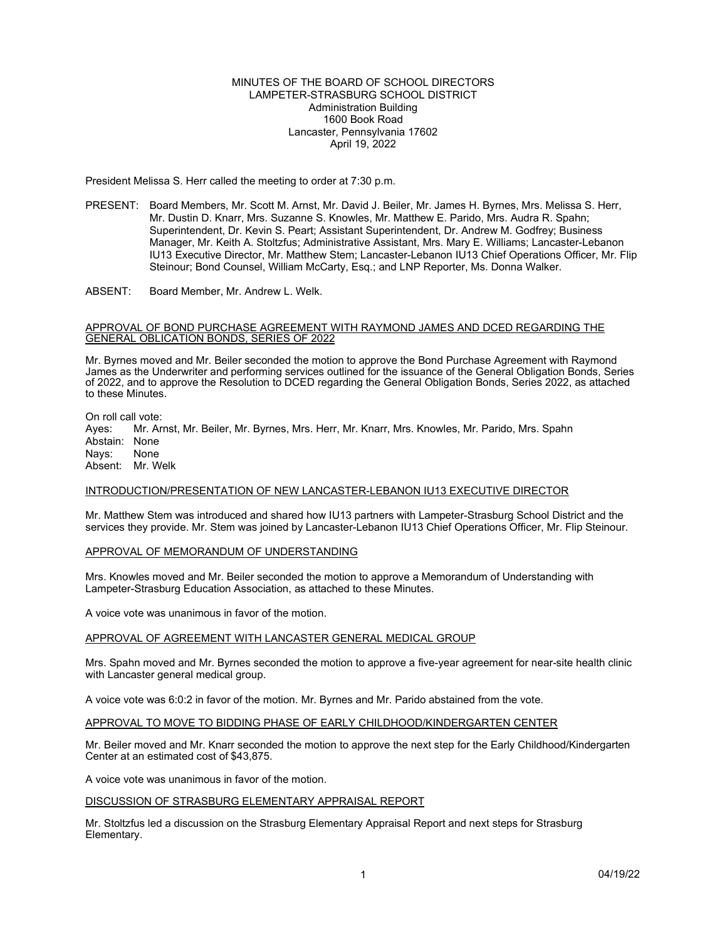## MINUTES OF THE BOARD OF SCHOOL DIRECTORS LAMPETER-STRASBURG SCHOOL DISTRICT Administration Building 1600 Book Road Lancaster, Pennsylvania 17602 April 19, 2022

President Melissa S. Herr called the meeting to order at 7:30 p.m.

- PRESENT: Board Members, Mr. Scott M. Arnst, Mr. David J. Beiler, Mr. James H. Byrnes, Mrs. Melissa S. Herr, Mr. Dustin D. Knarr, Mrs. Suzanne S. Knowles, Mr. Matthew E. Parido, Mrs. Audra R. Spahn; Superintendent, Dr. Kevin S. Peart; Assistant Superintendent, Dr. Andrew M. Godfrey; Business Manager, Mr. Keith A. Stoltzfus; Administrative Assistant, Mrs. Mary E. Williams; Lancaster-Lebanon IU13 Executive Director, Mr. Matthew Stem; Lancaster-Lebanon IU13 Chief Operations Officer, Mr. Flip Steinour; Bond Counsel, William McCarty, Esq.; and LNP Reporter, Ms. Donna Walker.
- ABSENT: Board Member, Mr. Andrew L. Welk.

## APPROVAL OF BOND PURCHASE AGREEMENT WITH RAYMOND JAMES AND DCED REGARDING THE GENERAL OBLICATION BONDS, SERIES OF 2022

Mr. Byrnes moved and Mr. Beiler seconded the motion to approve the Bond Purchase Agreement with Raymond James as the Underwriter and performing services outlined for the issuance of the General Obligation Bonds, Series of 2022, and to approve the Resolution to DCED regarding the General Obligation Bonds, Series 2022, as attached to these Minutes.

On roll call vote: Ayes: Mr. Arnst, Mr. Beiler, Mr. Byrnes, Mrs. Herr, Mr. Knarr, Mrs. Knowles, Mr. Parido, Mrs. Spahn Abstain: None<br>Navs: None Navs: Absent: Mr. Welk

# INTRODUCTION/PRESENTATION OF NEW LANCASTER-LEBANON IU13 EXECUTIVE DIRECTOR

Mr. Matthew Stem was introduced and shared how IU13 partners with Lampeter-Strasburg School District and the services they provide. Mr. Stem was joined by Lancaster-Lebanon IU13 Chief Operations Officer, Mr. Flip Steinour.

## APPROVAL OF MEMORANDUM OF UNDERSTANDING

Mrs. Knowles moved and Mr. Beiler seconded the motion to approve a Memorandum of Understanding with Lampeter-Strasburg Education Association, as attached to these Minutes.

A voice vote was unanimous in favor of the motion.

## APPROVAL OF AGREEMENT WITH LANCASTER GENERAL MEDICAL GROUP

Mrs. Spahn moved and Mr. Byrnes seconded the motion to approve a five-year agreement for near-site health clinic with Lancaster general medical group.

A voice vote was 6:0:2 in favor of the motion. Mr. Byrnes and Mr. Parido abstained from the vote.

#### APPROVAL TO MOVE TO BIDDING PHASE OF EARLY CHILDHOOD/KINDERGARTEN CENTER

Mr. Beiler moved and Mr. Knarr seconded the motion to approve the next step for the Early Childhood/Kindergarten Center at an estimated cost of \$43,875.

A voice vote was unanimous in favor of the motion.

#### DISCUSSION OF STRASBURG ELEMENTARY APPRAISAL REPORT

Mr. Stoltzfus led a discussion on the Strasburg Elementary Appraisal Report and next steps for Strasburg Elementary.